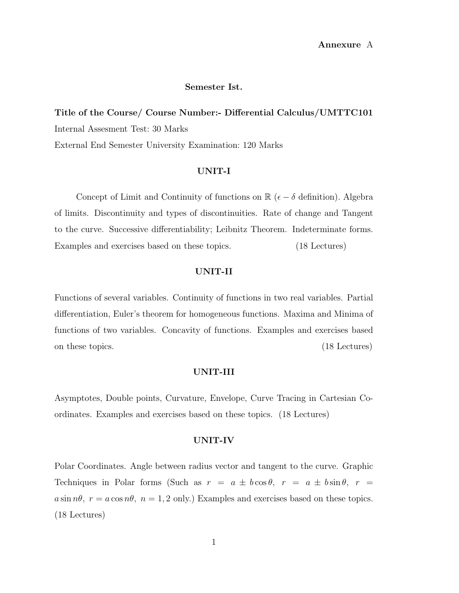### Semester Ist.

Title of the Course/ Course Number:- Differential Calculus/UMTTC101 Internal Assesment Test: 30 Marks External End Semester University Examination: 120 Marks

## UNIT-I

Concept of Limit and Continuity of functions on  $\mathbb{R}$  ( $\epsilon - \delta$  definition). Algebra of limits. Discontinuity and types of discontinuities. Rate of change and Tangent to the curve. Successive differentiability; Leibnitz Theorem. Indeterminate forms. Examples and exercises based on these topics. (18 Lectures)

## UNIT-II

Functions of several variables. Continuity of functions in two real variables. Partial differentiation, Euler's theorem for homogeneous functions. Maxima and Minima of functions of two variables. Concavity of functions. Examples and exercises based on these topics. (18 Lectures)

### UNIT-III

Asymptotes, Double points, Curvature, Envelope, Curve Tracing in Cartesian Coordinates. Examples and exercises based on these topics. (18 Lectures)

## UNIT-IV

Polar Coordinates. Angle between radius vector and tangent to the curve. Graphic Techniques in Polar forms (Such as  $r = a \pm b \cos \theta$ ,  $r = a \pm b \sin \theta$ ,  $r = a$  $a \sin n\theta$ ,  $r = a \cos n\theta$ ,  $n = 1, 2$  only.) Examples and exercises based on these topics. (18 Lectures)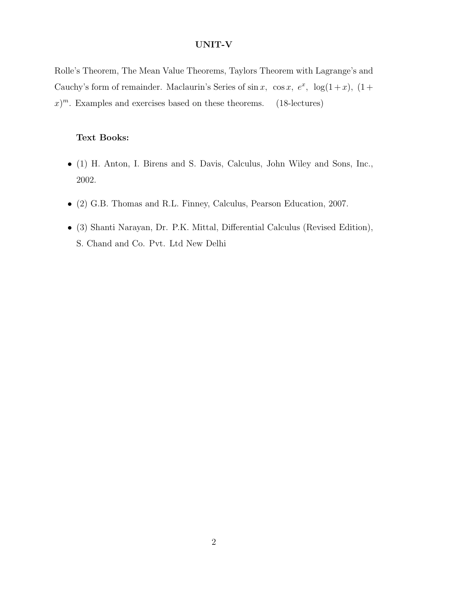## UNIT-V

Rolle's Theorem, The Mean Value Theorems, Taylors Theorem with Lagrange's and Cauchy's form of remainder. Maclaurin's Series of  $\sin x$ ,  $\cos x$ ,  $e^x$ ,  $\log(1+x)$ ,  $(1+x)$  $(x)^m$ . Examples and exercises based on these theorems. (18-lectures)

# Text Books:

- (1) H. Anton, I. Birens and S. Davis, Calculus, John Wiley and Sons, Inc., 2002.
- (2) G.B. Thomas and R.L. Finney, Calculus, Pearson Education, 2007.
- (3) Shanti Narayan, Dr. P.K. Mittal, Differential Calculus (Revised Edition), S. Chand and Co. Pvt. Ltd New Delhi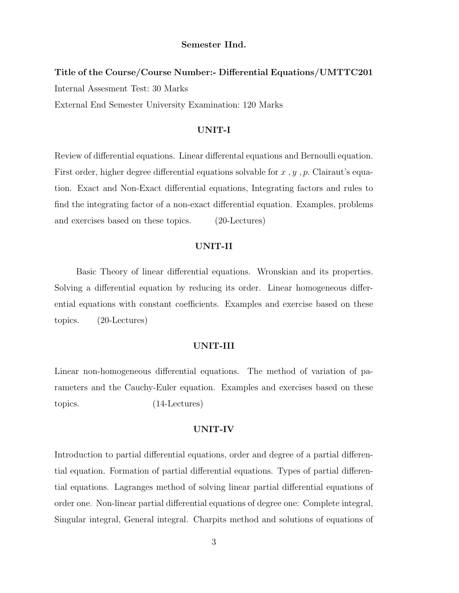#### Semester IInd.

# Title of the Course/Course Number:- Differential Equations/UMTTC201 Internal Assesment Test: 30 Marks External End Semester University Examination: 120 Marks

### UNIT-I

Review of differential equations. Linear differental equations and Bernoulli equation. First order, higher degree differential equations solvable for  $x, y, p$ . Clairaut's equation. Exact and Non-Exact differential equations, Integrating factors and rules to find the integrating factor of a non-exact differential equation. Examples, problems and exercises based on these topics. (20-Lectures)

## UNIT-II

Basic Theory of linear differential equations. Wronskian and its properties. Solving a differential equation by reducing its order. Linear homogeneous differential equations with constant coefficients. Examples and exercise based on these topics. (20-Lectures)

## UNIT-III

Linear non-homogeneous differential equations. The method of variation of parameters and the Cauchy-Euler equation. Examples and exercises based on these topics. (14-Lectures)

## UNIT-IV

Introduction to partial differential equations, order and degree of a partial differential equation. Formation of partial differential equations. Types of partial differential equations. Lagranges method of solving linear partial differential equations of order one. Non-linear partial differential equations of degree one: Complete integral, Singular integral, General integral. Charpits method and solutions of equations of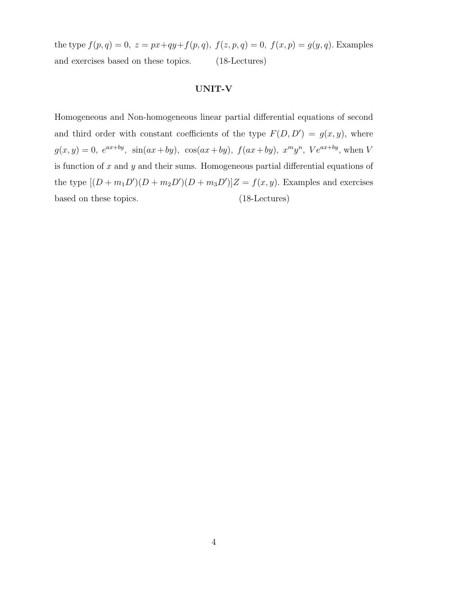the type  $f(p, q) = 0$ ,  $z = px+qy+f(p, q)$ ,  $f(z, p, q) = 0$ ,  $f(x, p) = g(y, q)$ . Examples and exercises based on these topics. (18-Lectures)

### UNIT-V

Homogeneous and Non-homogeneous linear partial differential equations of second and third order with constant coefficients of the type  $F(D, D') = g(x, y)$ , where  $g(x,y) = 0$ ,  $e^{ax+by}$ ,  $\sin(ax+by)$ ,  $\cos(ax+by)$ ,  $f(ax+by)$ ,  $x^my^n$ ,  $Ve^{ax+by}$ , when V is function of  $x$  and  $y$  and their sums. Homogeneous partial differential equations of the type  $[(D+m_1D')(D+m_2D')(D+m_3D')]Z = f(x, y)$ . Examples and exercises based on these topics. (18-Lectures)